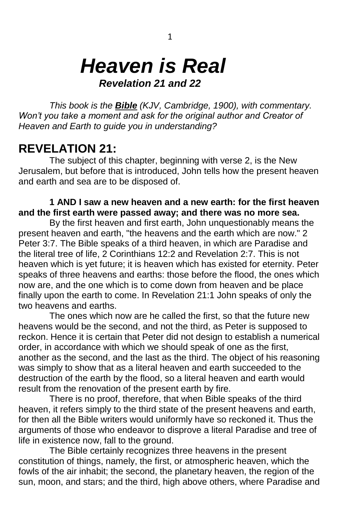# *Heaven is Real Revelation 21 and 22*

*This book is the Bible (KJV, Cambridge, 1900), with commentary. Won't you take a moment and ask for the original author and Creator of Heaven and Earth to guide you in understanding?*

### **REVELATION 21:**

The subject of this chapter, beginning with verse 2, is the New Jerusalem, but before that is introduced, John tells how the present heaven and earth and sea are to be disposed of.

#### **1 AND I saw a new heaven and a new earth: for the first heaven and the first earth were passed away; and there was no more sea.**

By the first heaven and first earth, John unquestionably means the present heaven and earth, "the heavens and the earth which are now." 2 Peter 3:7. The Bible speaks of a third heaven, in which are Paradise and the literal tree of life, 2 Corinthians 12:2 and Revelation 2:7. This is not heaven which is yet future; it is heaven which has existed for eternity. Peter speaks of three heavens and earths: those before the flood, the ones which now are, and the one which is to come down from heaven and be place finally upon the earth to come. In Revelation 21:1 John speaks of only the two heavens and earths.

The ones which now are he called the first, so that the future new heavens would be the second, and not the third, as Peter is supposed to reckon. Hence it is certain that Peter did not design to establish a numerical order, in accordance with which we should speak of one as the first, another as the second, and the last as the third. The object of his reasoning was simply to show that as a literal heaven and earth succeeded to the destruction of the earth by the flood, so a literal heaven and earth would result from the renovation of the present earth by fire.

There is no proof, therefore, that when Bible speaks of the third heaven, it refers simply to the third state of the present heavens and earth, for then all the Bible writers would uniformly have so reckoned it. Thus the arguments of those who endeavor to disprove a literal Paradise and tree of life in existence now, fall to the ground.

The Bible certainly recognizes three heavens in the present constitution of things, namely, the first, or atmospheric heaven, which the fowls of the air inhabit; the second, the planetary heaven, the region of the sun, moon, and stars; and the third, high above others, where Paradise and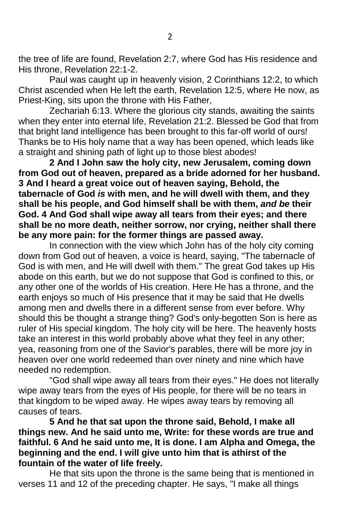the tree of life are found, Revelation 2:7, where God has His residence and His throne, Revelation 22:1-2.

Paul was caught up in heavenly vision, 2 Corinthians 12:2, to which Christ ascended when He left the earth, Revelation 12:5, where He now, as Priest-King, sits upon the throne with His Father,

Zechariah 6:13. Where the glorious city stands, awaiting the saints when they enter into eternal life, Revelation 21:2. Blessed be God that from that bright land intelligence has been brought to this far-off world of ours! Thanks be to His holy name that a way has been opened, which leads like a straight and shining path of light up to those blest abodes!

**2 And I John saw the holy city, new Jerusalem, coming down from God out of heaven, prepared as a bride adorned for her husband. 3 And I heard a great voice out of heaven saying, Behold, the tabernacle of God** *is* **with men, and he will dwell with them, and they shall be his people, and God himself shall be with them,** *and be* **their God. 4 And God shall wipe away all tears from their eyes; and there shall be no more death, neither sorrow, nor crying, neither shall there be any more pain: for the former things are passed away.**

In connection with the view which John has of the holy city coming down from God out of heaven, a voice is heard, saying, "The tabernacle of God is with men, and He will dwell with them." The great God takes up His abode on this earth, but we do not suppose that God is confined to this, or any other one of the worlds of His creation. Here He has a throne, and the earth enjoys so much of His presence that it may be said that He dwells among men and dwells there in a different sense from ever before. Why should this be thought a strange thing? God's only-begotten Son is here as ruler of His special kingdom. The holy city will be here. The heavenly hosts take an interest in this world probably above what they feel in any other; yea, reasoning from one of the Savior's parables, there will be more joy in heaven over one world redeemed than over ninety and nine which have needed no redemption.

"God shall wipe away all tears from their eyes." He does not literally wipe away tears from the eyes of His people, for there will be no tears in that kingdom to be wiped away. He wipes away tears by removing all causes of tears.

**5 And he that sat upon the throne said, Behold, I make all things new. And he said unto me, Write: for these words are true and faithful. 6 And he said unto me, It is done. I am Alpha and Omega, the beginning and the end. I will give unto him that is athirst of the fountain of the water of life freely.**

He that sits upon the throne is the same being that is mentioned in verses 11 and 12 of the preceding chapter. He says, "I make all things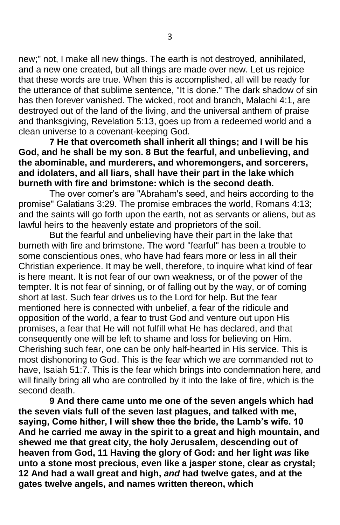new;" not, I make all new things. The earth is not destroyed, annihilated, and a new one created, but all things are made over new. Let us rejoice that these words are true. When this is accomplished, all will be ready for the utterance of that sublime sentence, "It is done." The dark shadow of sin has then forever vanished. The wicked, root and branch, Malachi 4:1, are destroyed out of the land of the living, and the universal anthem of praise and thanksgiving, Revelation 5:13, goes up from a redeemed world and a clean universe to a covenant-keeping God.

**7 He that overcometh shall inherit all things; and I will be his God, and he shall be my son. 8 But the fearful, and unbelieving, and the abominable, and murderers, and whoremongers, and sorcerers, and idolaters, and all liars, shall have their part in the lake which burneth with fire and brimstone: which is the second death.**

The over comer's are "Abraham's seed, and heirs according to the promise" Galatians 3:29. The promise embraces the world, Romans 4:13; and the saints will go forth upon the earth, not as servants or aliens, but as lawful heirs to the heavenly estate and proprietors of the soil.

But the fearful and unbelieving have their part in the lake that burneth with fire and brimstone. The word "fearful" has been a trouble to some conscientious ones, who have had fears more or less in all their Christian experience. It may be well, therefore, to inquire what kind of fear is here meant. It is not fear of our own weakness, or of the power of the tempter. It is not fear of sinning, or of falling out by the way, or of coming short at last. Such fear drives us to the Lord for help. But the fear mentioned here is connected with unbelief, a fear of the ridicule and opposition of the world, a fear to trust God and venture out upon His promises, a fear that He will not fulfill what He has declared, and that consequently one will be left to shame and loss for believing on Him. Cherishing such fear, one can be only half-hearted in His service. This is most dishonoring to God. This is the fear which we are commanded not to have, Isaiah 51:7. This is the fear which brings into condemnation here, and will finally bring all who are controlled by it into the lake of fire, which is the second death.

**9 And there came unto me one of the seven angels which had the seven vials full of the seven last plagues, and talked with me, saying, Come hither, I will shew thee the bride, the Lamb's wife. 10 And he carried me away in the spirit to a great and high mountain, and shewed me that great city, the holy Jerusalem, descending out of heaven from God, 11 Having the glory of God: and her light** *was* **like unto a stone most precious, even like a jasper stone, clear as crystal; 12 And had a wall great and high,** *and* **had twelve gates, and at the gates twelve angels, and names written thereon, which**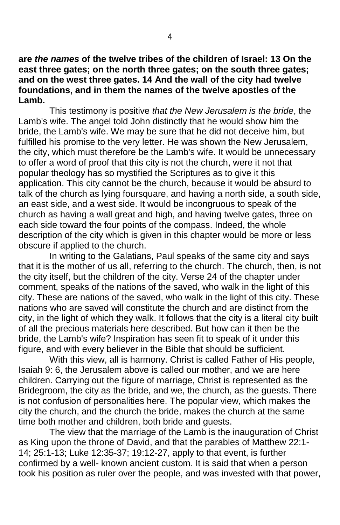**are** *the names* **of the twelve tribes of the children of Israel: 13 On the east three gates; on the north three gates; on the south three gates; and on the west three gates. 14 And the wall of the city had twelve foundations, and in them the names of the twelve apostles of the Lamb.**

This testimony is positive *that the New Jerusalem is the bride*, the Lamb's wife. The angel told John distinctly that he would show him the bride, the Lamb's wife. We may be sure that he did not deceive him, but fulfilled his promise to the very letter. He was shown the New Jerusalem, the city, which must therefore be the Lamb's wife. It would be unnecessary to offer a word of proof that this city is not the church, were it not that popular theology has so mystified the Scriptures as to give it this application. This city cannot be the church, because it would be absurd to talk of the church as lying foursquare, and having a north side, a south side, an east side, and a west side. It would be incongruous to speak of the church as having a wall great and high, and having twelve gates, three on each side toward the four points of the compass. Indeed, the whole description of the city which is given in this chapter would be more or less obscure if applied to the church.

In writing to the Galatians, Paul speaks of the same city and says that it is the mother of us all, referring to the church. The church, then, is not the city itself, but the children of the city. Verse 24 of the chapter under comment, speaks of the nations of the saved, who walk in the light of this city. These are nations of the saved, who walk in the light of this city. These nations who are saved will constitute the church and are distinct from the city, in the light of which they walk. It follows that the city is a literal city built of all the precious materials here described. But how can it then be the bride, the Lamb's wife? Inspiration has seen fit to speak of it under this figure, and with every believer in the Bible that should be sufficient.

With this view, all is harmony. Christ is called Father of His people, Isaiah 9: 6, the Jerusalem above is called our mother, and we are here children. Carrying out the figure of marriage, Christ is represented as the Bridegroom, the city as the bride, and we, the church, as the guests. There is not confusion of personalities here. The popular view, which makes the city the church, and the church the bride, makes the church at the same time both mother and children, both bride and guests.

The view that the marriage of the Lamb is the inauguration of Christ as King upon the throne of David, and that the parables of Matthew 22:1- 14; 25:1-13; Luke 12:35-37; 19:12-27, apply to that event, is further confirmed by a well- known ancient custom. It is said that when a person took his position as ruler over the people, and was invested with that power,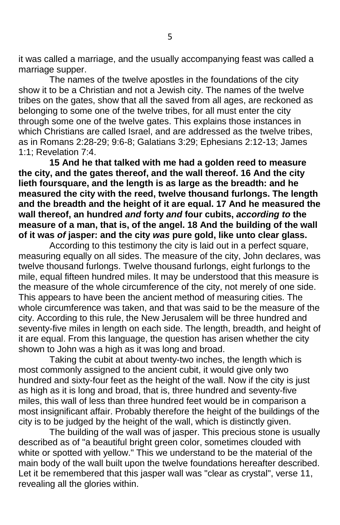it was called a marriage, and the usually accompanying feast was called a marriage supper.

The names of the twelve apostles in the foundations of the city show it to be a Christian and not a Jewish city. The names of the twelve tribes on the gates, show that all the saved from all ages, are reckoned as belonging to some one of the twelve tribes, for all must enter the city through some one of the twelve gates. This explains those instances in which Christians are called Israel, and are addressed as the twelve tribes, as in Romans 2:28-29; 9:6-8; Galatians 3:29; Ephesians 2:12-13; James 1:1; Revelation 7:4.

**15 And he that talked with me had a golden reed to measure the city, and the gates thereof, and the wall thereof. 16 And the city lieth foursquare, and the length is as large as the breadth: and he measured the city with the reed, twelve thousand furlongs. The length and the breadth and the height of it are equal. 17 And he measured the wall thereof, an hundred** *and* **forty** *and* **four cubits,** *according to* **the measure of a man, that is, of the angel. 18 And the building of the wall of it was** *of* **jasper: and the city** *was* **pure gold, like unto clear glass.**

According to this testimony the city is laid out in a perfect square, measuring equally on all sides. The measure of the city, John declares, was twelve thousand furlongs. Twelve thousand furlongs, eight furlongs to the mile, equal fifteen hundred miles. It may be understood that this measure is the measure of the whole circumference of the city, not merely of one side. This appears to have been the ancient method of measuring cities. The whole circumference was taken, and that was said to be the measure of the city. According to this rule, the New Jerusalem will be three hundred and seventy-five miles in length on each side. The length, breadth, and height of it are equal. From this language, the question has arisen whether the city shown to John was a high as it was long and broad.

Taking the cubit at about twenty-two inches, the length which is most commonly assigned to the ancient cubit, it would give only two hundred and sixty-four feet as the height of the wall. Now if the city is just as high as it is long and broad, that is, three hundred and seventy-five miles, this wall of less than three hundred feet would be in comparison a most insignificant affair. Probably therefore the height of the buildings of the city is to be judged by the height of the wall, which is distinctly given.

The building of the wall was of jasper. This precious stone is usually described as of "a beautiful bright green color, sometimes clouded with white or spotted with yellow." This we understand to be the material of the main body of the wall built upon the twelve foundations hereafter described. Let it be remembered that this jasper wall was "clear as crystal", verse 11, revealing all the glories within.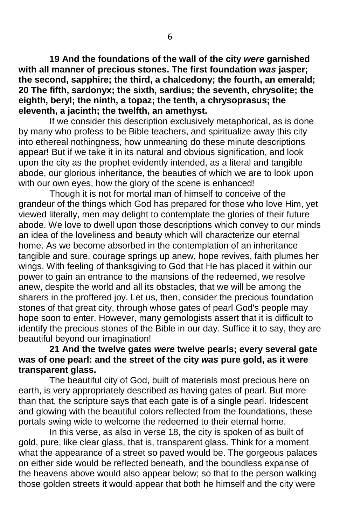**19 And the foundations of the wall of the city** *were* **garnished with all manner of precious stones. The first foundation** *was* **jasper; the second, sapphire; the third, a chalcedony; the fourth, an emerald; 20 The fifth, sardonyx; the sixth, sardius; the seventh, chrysolite; the eighth, beryl; the ninth, a topaz; the tenth, a chrysoprasus; the eleventh, a jacinth; the twelfth, an amethyst.**

If we consider this description exclusively metaphorical, as is done by many who profess to be Bible teachers, and spiritualize away this city into ethereal nothingness, how unmeaning do these minute descriptions appear! But if we take it in its natural and obvious signification, and look upon the city as the prophet evidently intended, as a literal and tangible abode, our glorious inheritance, the beauties of which we are to look upon with our own eyes, how the glory of the scene is enhanced!

Though it is not for mortal man of himself to conceive of the grandeur of the things which God has prepared for those who love Him, yet viewed literally, men may delight to contemplate the glories of their future abode. We love to dwell upon those descriptions which convey to our minds an idea of the loveliness and beauty which will characterize our eternal home. As we become absorbed in the contemplation of an inheritance tangible and sure, courage springs up anew, hope revives, faith plumes her wings. With feeling of thanksgiving to God that He has placed it within our power to gain an entrance to the mansions of the redeemed, we resolve anew, despite the world and all its obstacles, that we will be among the sharers in the proffered joy. Let us, then, consider the precious foundation stones of that great city, through whose gates of pearl God's people may hope soon to enter. However, many gemologists assert that it is difficult to identify the precious stones of the Bible in our day. Suffice it to say, they are beautiful beyond our imagination!

### **21 And the twelve gates** *were* **twelve pearls; every several gate was of one pearl: and the street of the city** *was* **pure gold, as it were transparent glass.**

The beautiful city of God, built of materials most precious here on earth, is very appropriately described as having gates of pearl. But more than that, the scripture says that each gate is of a single pearl. Iridescent and glowing with the beautiful colors reflected from the foundations, these portals swing wide to welcome the redeemed to their eternal home.

In this verse, as also in verse 18, the city is spoken of as built of gold, pure, like clear glass, that is, transparent glass. Think for a moment what the appearance of a street so paved would be. The gorgeous palaces on either side would be reflected beneath, and the boundless expanse of the heavens above would also appear below; so that to the person walking those golden streets it would appear that both he himself and the city were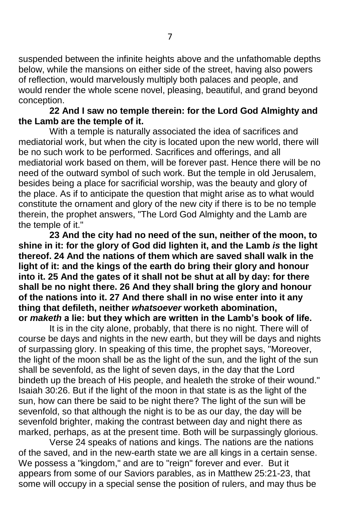suspended between the infinite heights above and the unfathomable depths below, while the mansions on either side of the street, having also powers of reflection, would marvelously multiply both palaces and people, and would render the whole scene novel, pleasing, beautiful, and grand beyond conception.

#### **22 And I saw no temple therein: for the Lord God Almighty and the Lamb are the temple of it.**

With a temple is naturally associated the idea of sacrifices and mediatorial work, but when the city is located upon the new world, there will be no such work to be performed. Sacrifices and offerings, and all mediatorial work based on them, will be forever past. Hence there will be no need of the outward symbol of such work. But the temple in old Jerusalem, besides being a place for sacrificial worship, was the beauty and glory of the place. As if to anticipate the question that might arise as to what would constitute the ornament and glory of the new city if there is to be no temple therein, the prophet answers, "The Lord God Almighty and the Lamb are the temple of it."

**23 And the city had no need of the sun, neither of the moon, to shine in it: for the glory of God did lighten it, and the Lamb** *is* **the light thereof. 24 And the nations of them which are saved shall walk in the light of it: and the kings of the earth do bring their glory and honour into it. 25 And the gates of it shall not be shut at all by day: for there shall be no night there. 26 And they shall bring the glory and honour of the nations into it. 27 And there shall in no wise enter into it any thing that defileth, neither** *whatsoever* **worketh abomination, or** *maketh* **a lie: but they which are written in the Lamb's book of life.**

It is in the city alone, probably, that there is no night. There will of course be days and nights in the new earth, but they will be days and nights of surpassing glory. In speaking of this time, the prophet says, "Moreover, the light of the moon shall be as the light of the sun, and the light of the sun shall be sevenfold, as the light of seven days, in the day that the Lord bindeth up the breach of His people, and healeth the stroke of their wound." Isaiah 30:26. But if the light of the moon in that state is as the light of the sun, how can there be said to be night there? The light of the sun will be sevenfold, so that although the night is to be as our day, the day will be sevenfold brighter, making the contrast between day and night there as marked, perhaps, as at the present time. Both will be surpassingly glorious.

Verse 24 speaks of nations and kings. The nations are the nations of the saved, and in the new-earth state we are all kings in a certain sense. We possess a "kingdom," and are to "reign" forever and ever. But it appears from some of our Saviors parables, as in Matthew 25:21-23, that some will occupy in a special sense the position of rulers, and may thus be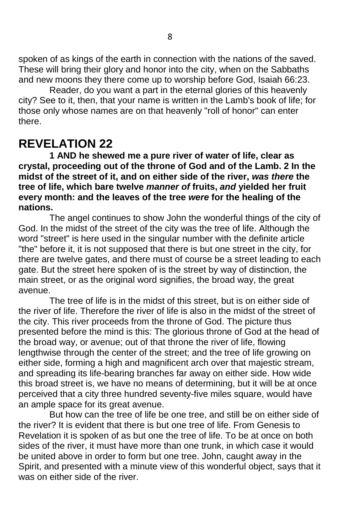spoken of as kings of the earth in connection with the nations of the saved. These will bring their glory and honor into the city, when on the Sabbaths and new moons they there come up to worship before God, Isaiah 66:23.

Reader, do you want a part in the eternal glories of this heavenly city? See to it, then, that your name is written in the Lamb's book of life; for those only whose names are on that heavenly "roll of honor" can enter there.

## **REVELATION 22**

**1 AND he shewed me a pure river of water of life, clear as crystal, proceeding out of the throne of God and of the Lamb. 2 In the midst of the street of it, and on either side of the river,** *was there* **the tree of life, which bare twelve** *manner of* **fruits,** *and* **yielded her fruit every month: and the leaves of the tree** *were* **for the healing of the nations.**

The angel continues to show John the wonderful things of the city of God. In the midst of the street of the city was the tree of life. Although the word "street" is here used in the singular number with the definite article "the" before it, it is not supposed that there is but one street in the city, for there are twelve gates, and there must of course be a street leading to each gate. But the street here spoken of is the street by way of distinction, the main street, or as the original word signifies, the broad way, the great avenue.

The tree of life is in the midst of this street, but is on either side of the river of life. Therefore the river of life is also in the midst of the street of the city. This river proceeds from the throne of God. The picture thus presented before the mind is this: The glorious throne of God at the head of the broad way, or avenue; out of that throne the river of life, flowing lengthwise through the center of the street; and the tree of life growing on either side, forming a high and magnificent arch over that majestic stream, and spreading its life-bearing branches far away on either side. How wide this broad street is, we have no means of determining, but it will be at once perceived that a city three hundred seventy-five miles square, would have an ample space for its great avenue.

But how can the tree of life be one tree, and still be on either side of the river? It is evident that there is but one tree of life. From Genesis to Revelation it is spoken of as but one the tree of life. To be at once on both sides of the river, it must have more than one trunk, in which case it would be united above in order to form but one tree. John, caught away in the Spirit, and presented with a minute view of this wonderful object, says that it was on either side of the river.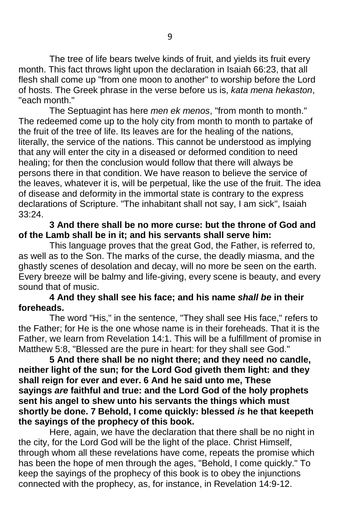The tree of life bears twelve kinds of fruit, and yields its fruit every month. This fact throws light upon the declaration in Isaiah 66:23, that all flesh shall come up "from one moon to another" to worship before the Lord of hosts. The Greek phrase in the verse before us is, *kata mena hekaston*, "each month."

The Septuagint has here *men ek menos*, "from month to month." The redeemed come up to the holy city from month to month to partake of the fruit of the tree of life. Its leaves are for the healing of the nations, literally, the service of the nations. This cannot be understood as implying that any will enter the city in a diseased or deformed condition to need healing; for then the conclusion would follow that there will always be persons there in that condition. We have reason to believe the service of the leaves, whatever it is, will be perpetual, like the use of the fruit. The idea of disease and deformity in the immortal state is contrary to the express declarations of Scripture. "The inhabitant shall not say, I am sick", Isaiah 33:24.

#### **3 And there shall be no more curse: but the throne of God and of the Lamb shall be in it; and his servants shall serve him:**

This language proves that the great God, the Father, is referred to, as well as to the Son. The marks of the curse, the deadly miasma, and the ghastly scenes of desolation and decay, will no more be seen on the earth. Every breeze will be balmy and life-giving, every scene is beauty, and every sound that of music.

#### **4 And they shall see his face; and his name** *shall be* **in their foreheads.**

The word "His," in the sentence, "They shall see His face," refers to the Father; for He is the one whose name is in their foreheads. That it is the Father, we learn from Revelation 14:1. This will be a fulfillment of promise in Matthew 5:8, "Blessed are the pure in heart: for they shall see God."

**5 And there shall be no night there; and they need no candle, neither light of the sun; for the Lord God giveth them light: and they shall reign for ever and ever. 6 And he said unto me, These sayings** *are* **faithful and true: and the Lord God of the holy prophets sent his angel to shew unto his servants the things which must shortly be done. 7 Behold, I come quickly: blessed** *is* **he that keepeth the sayings of the prophecy of this book.**

Here, again, we have the declaration that there shall be no night in the city, for the Lord God will be the light of the place. Christ Himself, through whom all these revelations have come, repeats the promise which has been the hope of men through the ages, "Behold, I come quickly." To keep the sayings of the prophecy of this book is to obey the injunctions connected with the prophecy, as, for instance, in Revelation 14:9-12.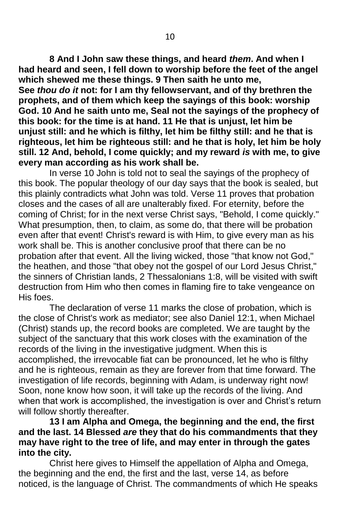**8 And I John saw these things, and heard** *them***. And when I had heard and seen, I fell down to worship before the feet of the angel which shewed me these things. 9 Then saith he unto me, See** *thou do it* **not: for I am thy fellowservant, and of thy brethren the prophets, and of them which keep the sayings of this book: worship God. 10 And he saith unto me, Seal not the sayings of the prophecy of this book: for the time is at hand. 11 He that is unjust, let him be unjust still: and he which is filthy, let him be filthy still: and he that is righteous, let him be righteous still: and he that is holy, let him be holy still. 12 And, behold, I come quickly; and my reward** *is* **with me, to give every man according as his work shall be.** 

In verse 10 John is told not to seal the sayings of the prophecy of this book. The popular theology of our day says that the book is sealed, but this plainly contradicts what John was told. Verse 11 proves that probation closes and the cases of all are unalterably fixed. For eternity, before the coming of Christ; for in the next verse Christ says, "Behold, I come quickly." What presumption, then, to claim, as some do, that there will be probation even after that event! Christ's reward is with Him, to give every man as his work shall be. This is another conclusive proof that there can be no probation after that event. All the living wicked, those "that know not God," the heathen, and those "that obey not the gospel of our Lord Jesus Christ," the sinners of Christian lands, 2 Thessalonians 1:8, will be visited with swift destruction from Him who then comes in flaming fire to take vengeance on His foes.

The declaration of verse 11 marks the close of probation, which is the close of Christ's work as mediator; see also Daniel 12:1, when Michael (Christ) stands up, the record books are completed. We are taught by the subject of the sanctuary that this work closes with the examination of the records of the living in the investigative judgment. When this is accomplished, the irrevocable fiat can be pronounced, let he who is filthy and he is righteous, remain as they are forever from that time forward. The investigation of life records, beginning with Adam, is underway right now! Soon, none know how soon, it will take up the records of the living. And when that work is accomplished, the investigation is over and Christ's return will follow shortly thereafter.

**13 I am Alpha and Omega, the beginning and the end, the first and the last. 14 Blessed** *are* **they that do his commandments that they may have right to the tree of life, and may enter in through the gates into the city.**

Christ here gives to Himself the appellation of Alpha and Omega, the beginning and the end, the first and the last, verse 14, as before noticed, is the language of Christ. The commandments of which He speaks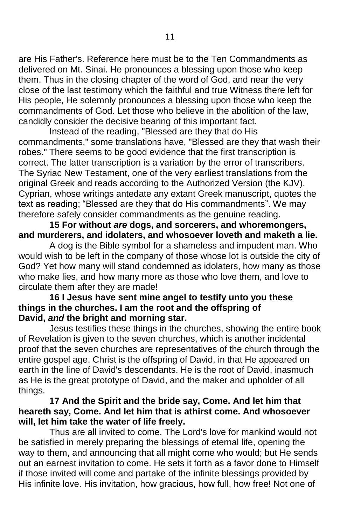are His Father's. Reference here must be to the Ten Commandments as delivered on Mt. Sinai. He pronounces a blessing upon those who keep them. Thus in the closing chapter of the word of God, and near the very close of the last testimony which the faithful and true Witness there left for His people, He solemnly pronounces a blessing upon those who keep the commandments of God. Let those who believe in the abolition of the law, candidly consider the decisive bearing of this important fact.

Instead of the reading, "Blessed are they that do His commandments," some translations have, "Blessed are they that wash their robes." There seems to be good evidence that the first transcription is correct. The latter transcription is a variation by the error of transcribers. The Syriac New Testament, one of the very earliest translations from the original Greek and reads according to the Authorized Version (the KJV). Cyprian, whose writings antedate any extant Greek manuscript, quotes the text as reading; "Blessed are they that do His commandments". We may therefore safely consider commandments as the genuine reading.

**15 For without** *are* **dogs, and sorcerers, and whoremongers, and murderers, and idolaters, and whosoever loveth and maketh a lie.** 

A dog is the Bible symbol for a shameless and impudent man. Who would wish to be left in the company of those whose lot is outside the city of God? Yet how many will stand condemned as idolaters, how many as those who make lies, and how many more as those who love them, and love to circulate them after they are made!

#### **16 I Jesus have sent mine angel to testify unto you these things in the churches. I am the root and the offspring of David,** *and* **the bright and morning star.**

Jesus testifies these things in the churches, showing the entire book of Revelation is given to the seven churches, which is another incidental proof that the seven churches are representatives of the church through the entire gospel age. Christ is the offspring of David, in that He appeared on earth in the line of David's descendants. He is the root of David, inasmuch as He is the great prototype of David, and the maker and upholder of all things.

#### **17 And the Spirit and the bride say, Come. And let him that heareth say, Come. And let him that is athirst come. And whosoever will, let him take the water of life freely.**

Thus are all invited to come. The Lord's love for mankind would not be satisfied in merely preparing the blessings of eternal life, opening the way to them, and announcing that all might come who would; but He sends out an earnest invitation to come. He sets it forth as a favor done to Himself if those invited will come and partake of the infinite blessings provided by His infinite love. His invitation, how gracious, how full, how free! Not one of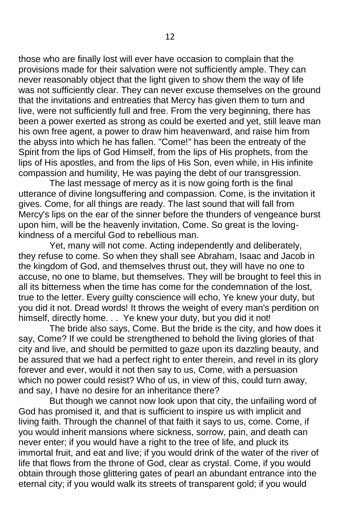those who are finally lost will ever have occasion to complain that the provisions made for their salvation were not sufficiently ample. They can never reasonably object that the light given to show them the way of life was not sufficiently clear. They can never excuse themselves on the ground that the invitations and entreaties that Mercy has given them to turn and live, were not sufficiently full and free. From the very beginning, there has been a power exerted as strong as could be exerted and yet, still leave man his own free agent, a power to draw him heavenward, and raise him from the abyss into which he has fallen. "Come!" has been the entreaty of the Spirit from the lips of God Himself, from the lips of His prophets, from the lips of His apostles, and from the lips of His Son, even while, in His infinite compassion and humility, He was paying the debt of our transgression.

The last message of mercy as it is now going forth is the final utterance of divine longsuffering and compassion. Come, is the invitation it gives. Come, for all things are ready. The last sound that will fall from Mercy's lips on the ear of the sinner before the thunders of vengeance burst upon him, will be the heavenly invitation, Come. So great is the lovingkindness of a merciful God to rebellious man.

Yet, many will not come. Acting independently and deliberately, they refuse to come. So when they shall see Abraham, Isaac and Jacob in the kingdom of God, and themselves thrust out, they will have no one to accuse, no one to blame, but themselves. They will be brought to feel this in all its bitterness when the time has come for the condemnation of the lost, true to the letter. Every guilty conscience will echo, Ye knew your duty, but you did it not. Dread words! It throws the weight of every man's perdition on himself, directly home. . . Ye knew your duty, but you did it not!

The bride also says, Come. But the bride is the city, and how does it say, Come? If we could be strengthened to behold the living glories of that city and live, and should be permitted to gaze upon its dazzling beauty, and be assured that we had a perfect right to enter therein, and revel in its glory forever and ever, would it not then say to us, Come, with a persuasion which no power could resist? Who of us, in view of this, could turn away, and say, I have no desire for an inheritance there?

But though we cannot now look upon that city, the unfailing word of God has promised it, and that is sufficient to inspire us with implicit and living faith. Through the channel of that faith it says to us, come. Come, if you would inherit mansions where sickness, sorrow, pain, and death can never enter; if you would have a right to the tree of life, and pluck its immortal fruit, and eat and live; if you would drink of the water of the river of life that flows from the throne of God, clear as crystal. Come, if you would obtain through those glittering gates of pearl an abundant entrance into the eternal city; if you would walk its streets of transparent gold; if you would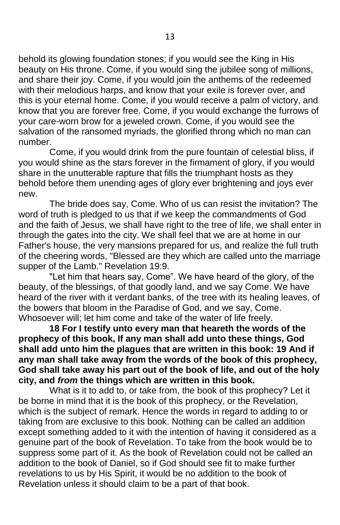behold its glowing foundation stones; if you would see the King in His beauty on His throne. Come, if you would sing the jubilee song of millions, and share their joy. Come, if you would join the anthems of the redeemed with their melodious harps, and know that your exile is forever over, and this is your eternal home. Come, if you would receive a palm of victory, and know that you are forever free. Come, if you would exchange the furrows of your care-worn brow for a jeweled crown. Come, if you would see the salvation of the ransomed myriads, the glorified throng which no man can number.

Come, if you would drink from the pure fountain of celestial bliss, if you would shine as the stars forever in the firmament of glory, if you would share in the unutterable rapture that fills the triumphant hosts as they behold before them unending ages of glory ever brightening and joys ever new.

The bride does say, Come. Who of us can resist the invitation? The word of truth is pledged to us that if we keep the commandments of God and the faith of Jesus, we shall have right to the tree of life, we shall enter in through the gates into the city. We shall feel that we are at home in our Father's house, the very mansions prepared for us, and realize the full truth of the cheering words, "Blessed are they which are called unto the marriage supper of the Lamb." Revelation 19:9.

"Let him that hears say, Come". We have heard of the glory, of the beauty, of the blessings, of that goodly land, and we say Come. We have heard of the river with it verdant banks, of the tree with its healing leaves, of the bowers that bloom in the Paradise of God, and we say, Come. Whosoever will; let him come and take of the water of life freely.

**18 For I testify unto every man that heareth the words of the prophecy of this book, If any man shall add unto these things, God shall add unto him the plagues that are written in this book: 19 And if any man shall take away from the words of the book of this prophecy, God shall take away his part out of the book of life, and out of the holy city, and** *from* **the things which are written in this book.** 

What is it to add to, or take from, the book of this prophecy? Let it be borne in mind that it is the book of this prophecy, or the Revelation, which is the subject of remark. Hence the words in regard to adding to or taking from are exclusive to this book. Nothing can be called an addition except something added to it with the intention of having it considered as a genuine part of the book of Revelation. To take from the book would be to suppress some part of it. As the book of Revelation could not be called an addition to the book of Daniel, so if God should see fit to make further revelations to us by His Spirit, it would be no addition to the book of Revelation unless it should claim to be a part of that book.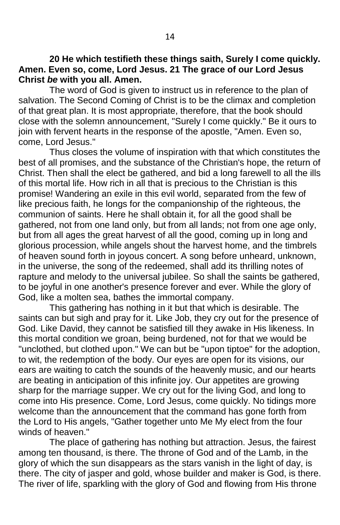**20 He which testifieth these things saith, Surely I come quickly. Amen. Even so, come, Lord Jesus. 21 The grace of our Lord Jesus Christ** *be* **with you all. Amen.**

The word of God is given to instruct us in reference to the plan of salvation. The Second Coming of Christ is to be the climax and completion of that great plan. It is most appropriate, therefore, that the book should close with the solemn announcement, "Surely I come quickly." Be it ours to join with fervent hearts in the response of the apostle, "Amen. Even so, come, Lord Jesus."

Thus closes the volume of inspiration with that which constitutes the best of all promises, and the substance of the Christian's hope, the return of Christ. Then shall the elect be gathered, and bid a long farewell to all the ills of this mortal life. How rich in all that is precious to the Christian is this promise! Wandering an exile in this evil world, separated from the few of like precious faith, he longs for the companionship of the righteous, the communion of saints. Here he shall obtain it, for all the good shall be gathered, not from one land only, but from all lands; not from one age only, but from all ages the great harvest of all the good, coming up in long and glorious procession, while angels shout the harvest home, and the timbrels of heaven sound forth in joyous concert. A song before unheard, unknown, in the universe, the song of the redeemed, shall add its thrilling notes of rapture and melody to the universal jubilee. So shall the saints be gathered, to be joyful in one another's presence forever and ever. While the glory of God, like a molten sea, bathes the immortal company.

This gathering has nothing in it but that which is desirable. The saints can but sigh and pray for it. Like Job, they cry out for the presence of God. Like David, they cannot be satisfied till they awake in His likeness. In this mortal condition we groan, being burdened, not for that we would be "unclothed, but clothed upon." We can but be "upon tiptoe" for the adoption, to wit, the redemption of the body. Our eyes are open for its visions, our ears are waiting to catch the sounds of the heavenly music, and our hearts are beating in anticipation of this infinite joy. Our appetites are growing sharp for the marriage supper. We cry out for the living God, and long to come into His presence. Come, Lord Jesus, come quickly. No tidings more welcome than the announcement that the command has gone forth from the Lord to His angels, "Gather together unto Me My elect from the four winds of heaven."

The place of gathering has nothing but attraction. Jesus, the fairest among ten thousand, is there. The throne of God and of the Lamb, in the glory of which the sun disappears as the stars vanish in the light of day, is there. The city of jasper and gold, whose builder and maker is God, is there. The river of life, sparkling with the glory of God and flowing from His throne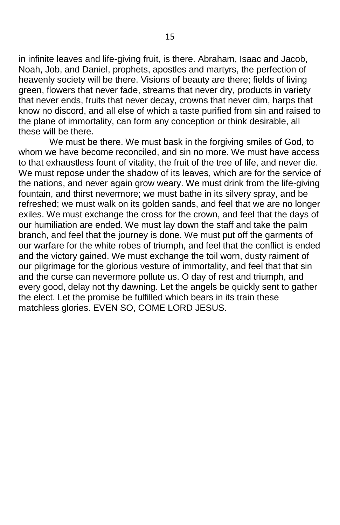in infinite leaves and life-giving fruit, is there. Abraham, Isaac and Jacob, Noah, Job, and Daniel, prophets, apostles and martyrs, the perfection of heavenly society will be there. Visions of beauty are there; fields of living green, flowers that never fade, streams that never dry, products in variety that never ends, fruits that never decay, crowns that never dim, harps that know no discord, and all else of which a taste purified from sin and raised to the plane of immortality, can form any conception or think desirable, all these will be there.

We must be there. We must bask in the forgiving smiles of God, to whom we have become reconciled, and sin no more. We must have access to that exhaustless fount of vitality, the fruit of the tree of life, and never die. We must repose under the shadow of its leaves, which are for the service of the nations, and never again grow weary. We must drink from the life-giving fountain, and thirst nevermore; we must bathe in its silvery spray, and be refreshed; we must walk on its golden sands, and feel that we are no longer exiles. We must exchange the cross for the crown, and feel that the days of our humiliation are ended. We must lay down the staff and take the palm branch, and feel that the journey is done. We must put off the garments of our warfare for the white robes of triumph, and feel that the conflict is ended and the victory gained. We must exchange the toil worn, dusty raiment of our pilgrimage for the glorious vesture of immortality, and feel that that sin and the curse can nevermore pollute us. O day of rest and triumph, and every good, delay not thy dawning. Let the angels be quickly sent to gather the elect. Let the promise be fulfilled which bears in its train these matchless glories. EVEN SO, COME LORD JESUS.